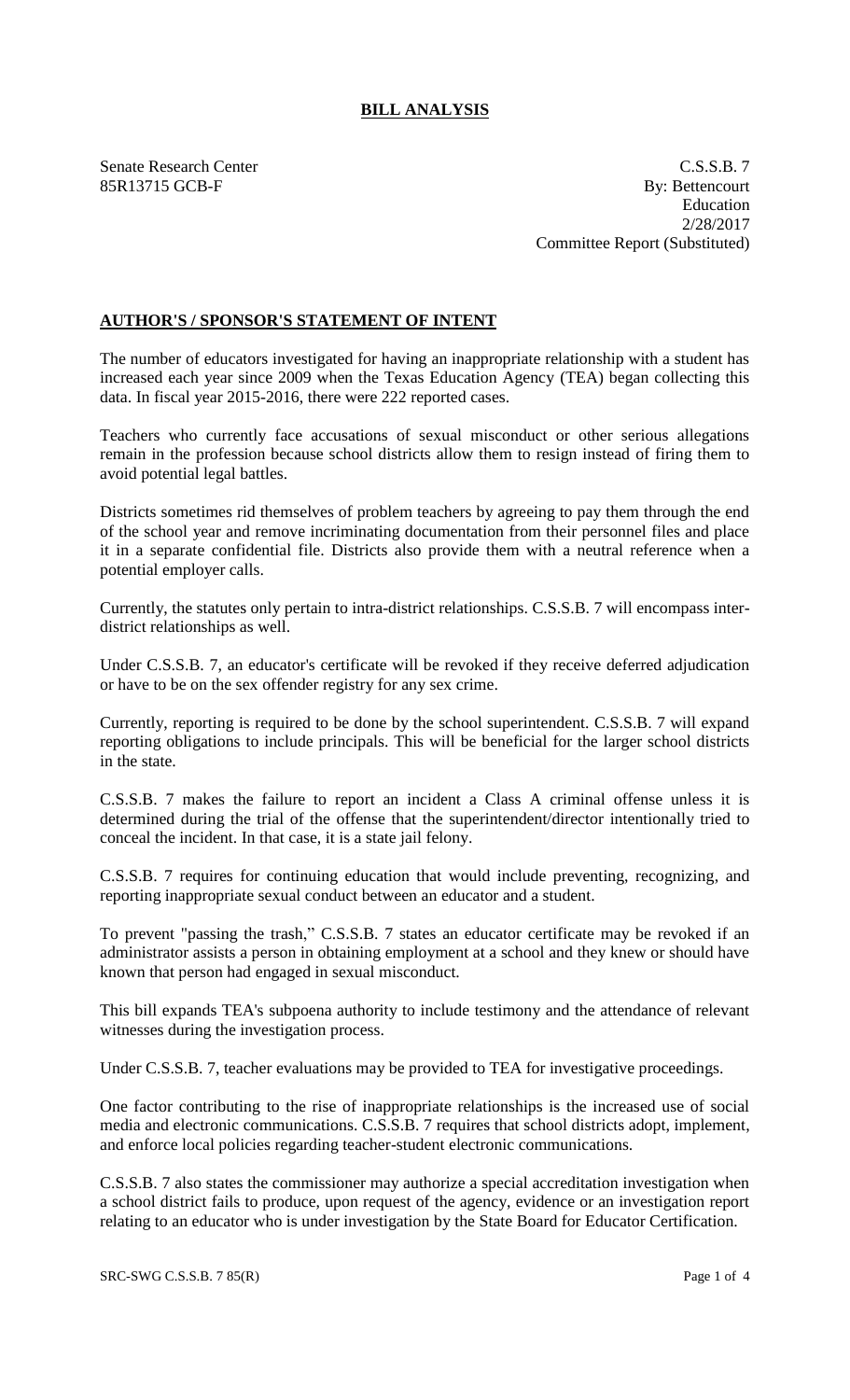## **BILL ANALYSIS**

Senate Research Center C.S.S.B. 7 85R13715 GCB-F By: Bettencourt Education 2/28/2017 Committee Report (Substituted)

## **AUTHOR'S / SPONSOR'S STATEMENT OF INTENT**

The number of educators investigated for having an inappropriate relationship with a student has increased each year since 2009 when the Texas Education Agency (TEA) began collecting this data. In fiscal year 2015-2016, there were 222 reported cases.

Teachers who currently face accusations of sexual misconduct or other serious allegations remain in the profession because school districts allow them to resign instead of firing them to avoid potential legal battles.

Districts sometimes rid themselves of problem teachers by agreeing to pay them through the end of the school year and remove incriminating documentation from their personnel files and place it in a separate confidential file. Districts also provide them with a neutral reference when a potential employer calls.

Currently, the statutes only pertain to intra-district relationships. C.S.S.B. 7 will encompass interdistrict relationships as well.

Under C.S.S.B. 7, an educator's certificate will be revoked if they receive deferred adjudication or have to be on the sex offender registry for any sex crime.

Currently, reporting is required to be done by the school superintendent. C.S.S.B. 7 will expand reporting obligations to include principals. This will be beneficial for the larger school districts in the state.

C.S.S.B. 7 makes the failure to report an incident a Class A criminal offense unless it is determined during the trial of the offense that the superintendent/director intentionally tried to conceal the incident. In that case, it is a state jail felony.

C.S.S.B. 7 requires for continuing education that would include preventing, recognizing, and reporting inappropriate sexual conduct between an educator and a student.

To prevent "passing the trash," C.S.S.B. 7 states an educator certificate may be revoked if an administrator assists a person in obtaining employment at a school and they knew or should have known that person had engaged in sexual misconduct.

This bill expands TEA's subpoena authority to include testimony and the attendance of relevant witnesses during the investigation process.

Under C.S.S.B. 7, teacher evaluations may be provided to TEA for investigative proceedings.

One factor contributing to the rise of inappropriate relationships is the increased use of social media and electronic communications. C.S.S.B. 7 requires that school districts adopt, implement, and enforce local policies regarding teacher-student electronic communications.

C.S.S.B. 7 also states the commissioner may authorize a special accreditation investigation when a school district fails to produce, upon request of the agency, evidence or an investigation report relating to an educator who is under investigation by the State Board for Educator Certification.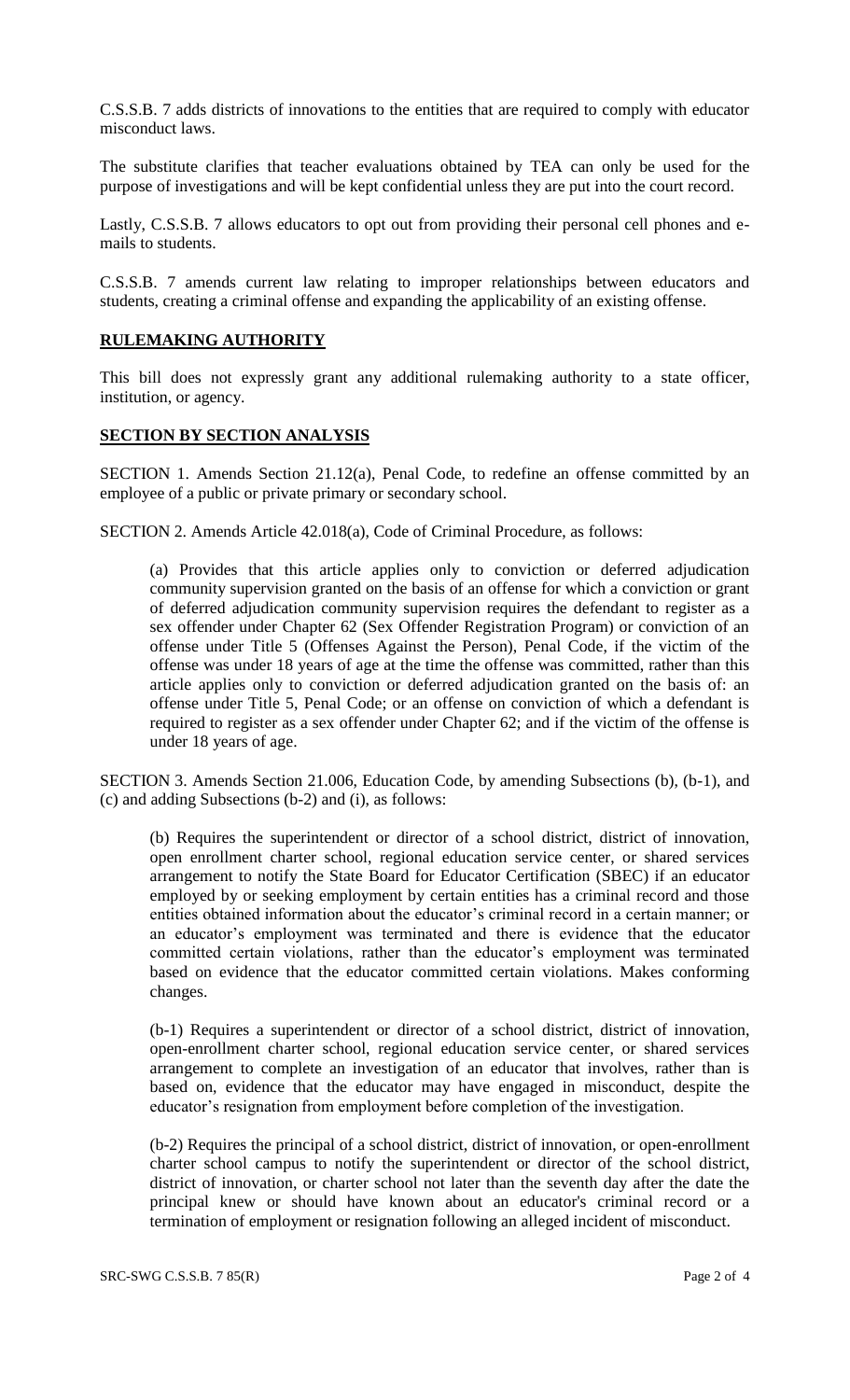C.S.S.B. 7 adds districts of innovations to the entities that are required to comply with educator misconduct laws.

The substitute clarifies that teacher evaluations obtained by TEA can only be used for the purpose of investigations and will be kept confidential unless they are put into the court record.

Lastly, C.S.S.B. 7 allows educators to opt out from providing their personal cell phones and emails to students.

C.S.S.B. 7 amends current law relating to improper relationships between educators and students, creating a criminal offense and expanding the applicability of an existing offense.

## **RULEMAKING AUTHORITY**

This bill does not expressly grant any additional rulemaking authority to a state officer, institution, or agency.

## **SECTION BY SECTION ANALYSIS**

SECTION 1. Amends Section 21.12(a), Penal Code, to redefine an offense committed by an employee of a public or private primary or secondary school.

SECTION 2. Amends Article 42.018(a), Code of Criminal Procedure, as follows:

(a) Provides that this article applies only to conviction or deferred adjudication community supervision granted on the basis of an offense for which a conviction or grant of deferred adjudication community supervision requires the defendant to register as a sex offender under Chapter 62 (Sex Offender Registration Program) or conviction of an offense under Title 5 (Offenses Against the Person), Penal Code, if the victim of the offense was under 18 years of age at the time the offense was committed, rather than this article applies only to conviction or deferred adjudication granted on the basis of: an offense under Title 5, Penal Code; or an offense on conviction of which a defendant is required to register as a sex offender under Chapter 62; and if the victim of the offense is under 18 years of age.

SECTION 3. Amends Section 21.006, Education Code, by amending Subsections (b), (b-1), and (c) and adding Subsections (b-2) and (i), as follows:

(b) Requires the superintendent or director of a school district, district of innovation, open enrollment charter school, regional education service center, or shared services arrangement to notify the State Board for Educator Certification (SBEC) if an educator employed by or seeking employment by certain entities has a criminal record and those entities obtained information about the educator's criminal record in a certain manner; or an educator's employment was terminated and there is evidence that the educator committed certain violations, rather than the educator's employment was terminated based on evidence that the educator committed certain violations. Makes conforming changes.

(b-1) Requires a superintendent or director of a school district, district of innovation, open-enrollment charter school, regional education service center, or shared services arrangement to complete an investigation of an educator that involves, rather than is based on, evidence that the educator may have engaged in misconduct, despite the educator's resignation from employment before completion of the investigation.

(b-2) Requires the principal of a school district, district of innovation, or open-enrollment charter school campus to notify the superintendent or director of the school district, district of innovation, or charter school not later than the seventh day after the date the principal knew or should have known about an educator's criminal record or a termination of employment or resignation following an alleged incident of misconduct.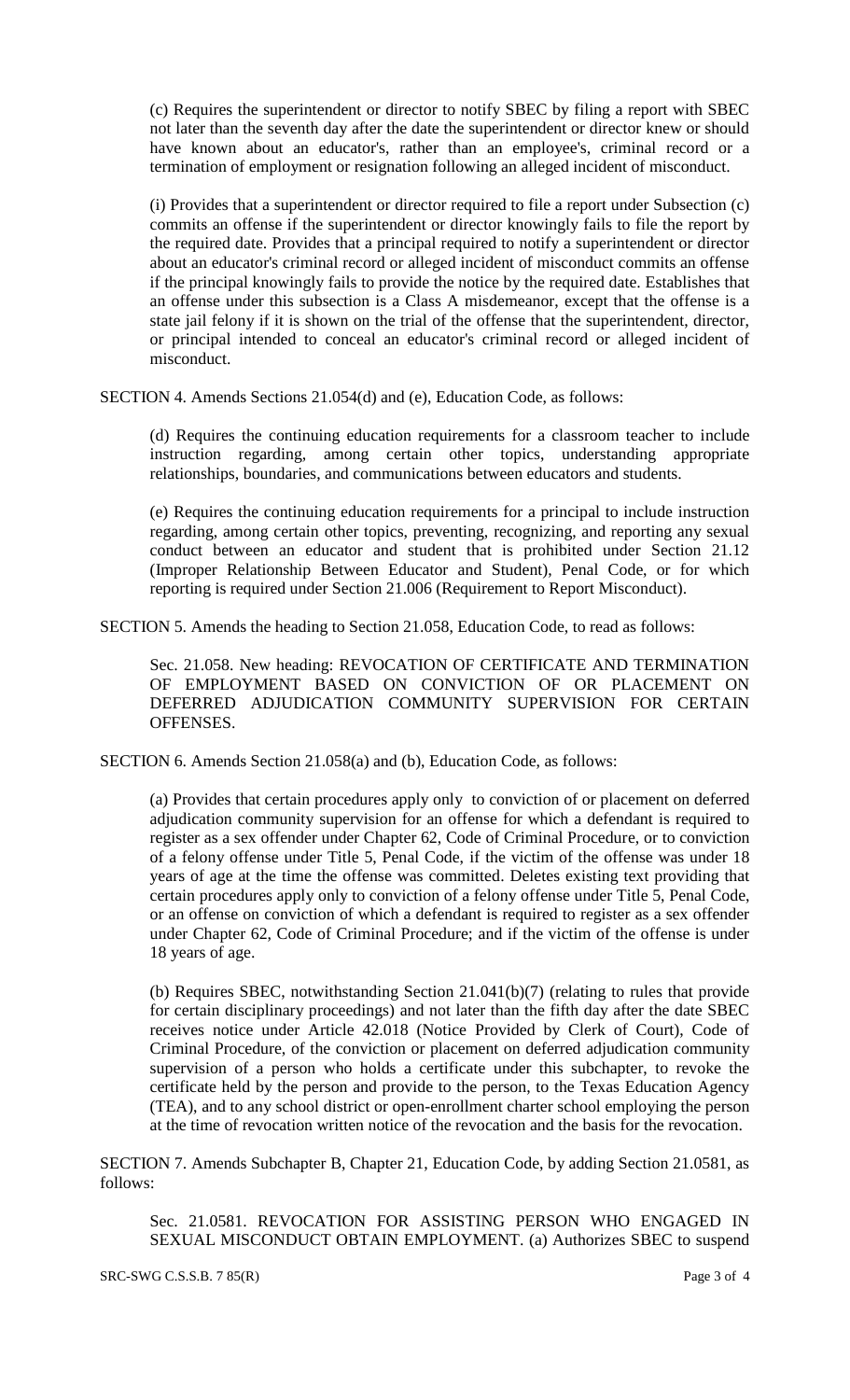(c) Requires the superintendent or director to notify SBEC by filing a report with SBEC not later than the seventh day after the date the superintendent or director knew or should have known about an educator's, rather than an employee's, criminal record or a termination of employment or resignation following an alleged incident of misconduct.

(i) Provides that a superintendent or director required to file a report under Subsection (c) commits an offense if the superintendent or director knowingly fails to file the report by the required date. Provides that a principal required to notify a superintendent or director about an educator's criminal record or alleged incident of misconduct commits an offense if the principal knowingly fails to provide the notice by the required date. Establishes that an offense under this subsection is a Class A misdemeanor, except that the offense is a state jail felony if it is shown on the trial of the offense that the superintendent, director, or principal intended to conceal an educator's criminal record or alleged incident of misconduct.

SECTION 4. Amends Sections 21.054(d) and (e), Education Code, as follows:

(d) Requires the continuing education requirements for a classroom teacher to include instruction regarding, among certain other topics, understanding appropriate relationships, boundaries, and communications between educators and students.

(e) Requires the continuing education requirements for a principal to include instruction regarding, among certain other topics, preventing, recognizing, and reporting any sexual conduct between an educator and student that is prohibited under Section 21.12 (Improper Relationship Between Educator and Student), Penal Code, or for which reporting is required under Section 21.006 (Requirement to Report Misconduct).

SECTION 5. Amends the heading to Section 21.058, Education Code, to read as follows:

Sec. 21.058. New heading: REVOCATION OF CERTIFICATE AND TERMINATION OF EMPLOYMENT BASED ON CONVICTION OF OR PLACEMENT ON DEFERRED ADJUDICATION COMMUNITY SUPERVISION FOR CERTAIN OFFENSES.

SECTION 6. Amends Section 21.058(a) and (b), Education Code, as follows:

(a) Provides that certain procedures apply only to conviction of or placement on deferred adjudication community supervision for an offense for which a defendant is required to register as a sex offender under Chapter 62, Code of Criminal Procedure, or to conviction of a felony offense under Title 5, Penal Code, if the victim of the offense was under 18 years of age at the time the offense was committed. Deletes existing text providing that certain procedures apply only to conviction of a felony offense under Title 5, Penal Code, or an offense on conviction of which a defendant is required to register as a sex offender under Chapter 62, Code of Criminal Procedure; and if the victim of the offense is under 18 years of age.

(b) Requires SBEC, notwithstanding Section 21.041(b)(7) (relating to rules that provide for certain disciplinary proceedings) and not later than the fifth day after the date SBEC receives notice under Article 42.018 (Notice Provided by Clerk of Court), Code of Criminal Procedure, of the conviction or placement on deferred adjudication community supervision of a person who holds a certificate under this subchapter, to revoke the certificate held by the person and provide to the person, to the Texas Education Agency (TEA), and to any school district or open-enrollment charter school employing the person at the time of revocation written notice of the revocation and the basis for the revocation.

SECTION 7. Amends Subchapter B, Chapter 21, Education Code, by adding Section 21.0581, as follows:

Sec. 21.0581. REVOCATION FOR ASSISTING PERSON WHO ENGAGED IN SEXUAL MISCONDUCT OBTAIN EMPLOYMENT. (a) Authorizes SBEC to suspend